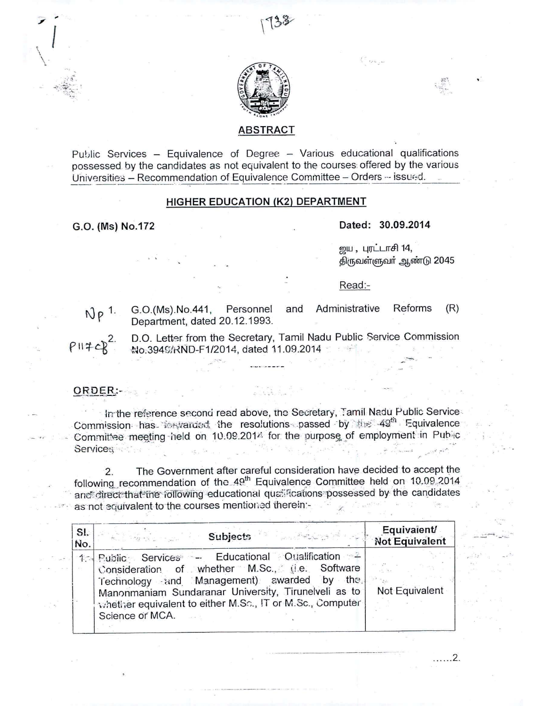

# **ABSTRACT**

Public Services - Equivalence of Degree - Various educational qualifications possessed by the candidates as not equivalent to the courses offered by the various Universities - Recommendation of Equivalence Committee - Orders -- issued.

# HIGHER EDUCATION (K2) DEPARTMENT

G.O. (Ms) No.172

### Dated: 30.09.2014

ஜய, புரட்டாசி 14, திருவள்ளுவர் ஆண்டு 2045

. . . . . . 2.

#### Read:-

 $Np$ <sup>1.</sup>

G.O.(Ms).No.441, Personnel Department, dated 20.12.1993.

and Administrative Reforms  $(R)$ 

D.O. Letter from the Secretary, Tamil Nadu Public Service Commission No.3949/RND-F1/2014, dated 11.09.2014

## ORDER:

In the reference second read above, the Secretary, Tamil Nadu Public Service Commission has in varied the resolutions passed by the 49<sup>th</sup> Equivalence Committee meeting held on 10.09.201<sup>2</sup> for the purpose of employment in Public Services **Services** 

The Government after careful consideration have decided to accept the  $2.$ following recommendation of the 49<sup>th</sup> Equivalence Committee held on 10.09.2014 and direct that the following educational qualifications possessed by the candidates as not equivalent to the courses mentioned therein:-

| SI. | Subjects and the second results                                                                                                                                                                                                                                                        | Equivalent/    |
|-----|----------------------------------------------------------------------------------------------------------------------------------------------------------------------------------------------------------------------------------------------------------------------------------------|----------------|
| No. | H. W. Hell                                                                                                                                                                                                                                                                             | Not Equivalent |
|     | 1. Public Services - Educational Ottalification<br>Consideration of whether M.Sc., (i.e. Software<br>Technology and Management) awarded by the<br>Manonmaniam Sundaranar University, Tirunelveli as to<br>whether equivalent to either M.So., IT or M.Sc., Computer<br>Science of MCA. | Not Equivalent |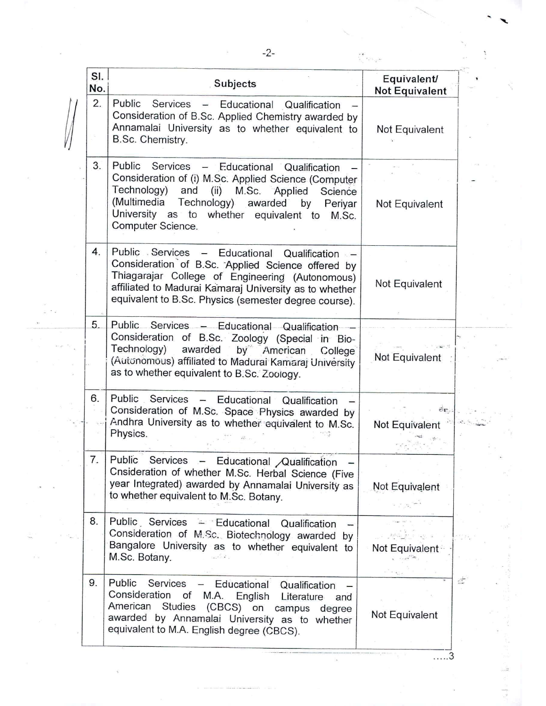| SI.<br>No. | <b>Subjects</b>                                                                                                                                                                                                                                                               | Equivalent/<br><b>Not Equivalent</b> |
|------------|-------------------------------------------------------------------------------------------------------------------------------------------------------------------------------------------------------------------------------------------------------------------------------|--------------------------------------|
| 2.         | Public Services - Educational Qualification<br>Consideration of B.Sc. Applied Chemistry awarded by<br>Annamalai University as to whether equivalent to<br>B.Sc. Chemistry.                                                                                                    | Not Equivalent                       |
| 3.         | Public Services - Educational Qualification<br>Consideration of (i) M.Sc. Applied Science (Computer<br>Technology) and (ii) M.Sc. Applied<br>Science<br>(Multimedia Technology) awarded by<br>Periyar<br>University as to whether equivalent to<br>M.Sc.<br>Computer Science. | Not Equivalent                       |
| 4.         | Public Services - Educational Qualification -<br>Consideration of B.Sc. Applied Science offered by<br>Thiagarajar College of Engineering (Autonomous)<br>affiliated to Madurai Kamaraj University as to whether<br>equivalent to B.Sc. Physics (semester degree course).      | Not Equivalent                       |
| 5.         | Public Services - Educational Qualification<br>Consideration of B.Sc. Zoology (Special in Bio-<br>Technology)<br>by American<br>awarded<br>College <sup>®</sup><br>(Autonomous) affiliated to Madurai Kamaraj University<br>as to whether equivalent to B.Sc. Zoology.        | Not Equivalent                       |
| 6.         | Public Services - Educational Qualification<br>Consideration of M.Sc. Space Physics awarded by<br>Andhra University as to whether equivalent to M.Sc.<br>Physics.                                                                                                             | čτ.<br>Not Equivalent                |
| 7.         | Public<br>Services - Educational Qualification<br>Cnsideration of whether M.Sc. Herbal Science (Five<br>year Integrated) awarded by Annamalai University as<br>to whether equivalent to M.Sc. Botany.                                                                         | Not Equivalent                       |
| 8.         | Public Services - Educational Qualification<br>Consideration of M.Sc. Biotechnology awarded by<br>Bangalore University as to whether equivalent to<br>M.Sc. Botany.                                                                                                           | Not Equivalent                       |
| 9.         | Public<br>Services<br>Educational<br>Qualification<br>Consideration<br>of<br>M.A. English<br>Literature<br>and<br>American Studies (CBCS) on campus<br>degree<br>awarded by Annamalai University as to whether<br>equivalent to M.A. English degree (CBCS).                   | Not Equivalent                       |

G)

đ.

 $\overline{\ldots}$ .

à,